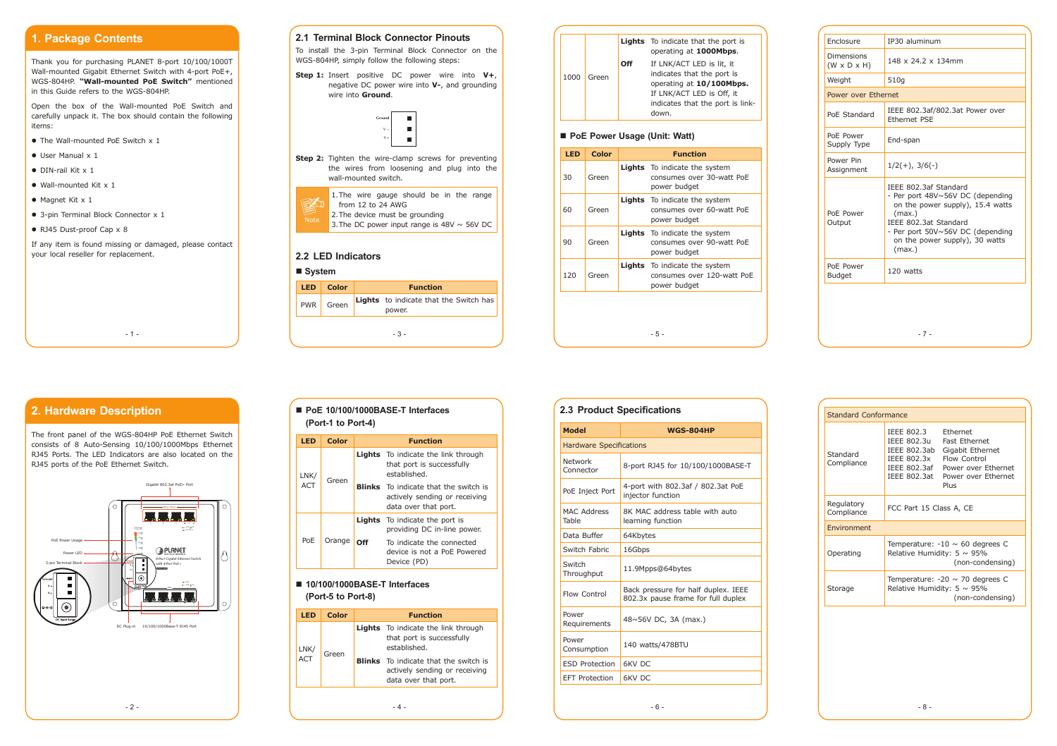- 5 -

- 6 -

# **1. Package Contents**

Thank you for purchasing PLANET 8-port 10/100/1000T Wall-mounted Gigabit Ethernet Switch with 4-port PoE+, WGS-804HP. **"Wall-mounted PoE Switch"** mentioned in this Guide refers to the WGS-804HP.

Open the box of the Wall-mounted PoE Switch and carefully unpack it. The box should contain the following items:

- The Wall-mounted PoE Switch x 1
- User Manual x 1
- DIN-rail Kit x 1
- $\bullet$  Wall-mounted Kit x 1
- $\bullet$  Magnet Kit x 1
- 3-pin Terminal Block Connector x 1
- RJ45 Dust-proof Cap x 8

If any item is found missing or damaged, please contact your local reseller for replacement.

 $- 1 -$ 

| <b>LED</b> | <b>Color</b> | <b>Function</b> |                                                         |
|------------|--------------|-----------------|---------------------------------------------------------|
| <b>PWR</b> | Green        |                 | <b>Lights</b> to indicate that the Switch has<br>power. |
|            |              |                 |                                                         |

#### **2.1 Terminal Block Connector Pinouts**

To install the 3-pin Terminal Block Connector on the WGS-804HP, simply follow the following steps:

**Step 1:** Insert positive DC power wire into **V+**, negative DC power wire into **V-**, and grounding wire into **Ground**.

| Enclosure                             | IP30 aluminum                                                                                                                                                                                                    |  |
|---------------------------------------|------------------------------------------------------------------------------------------------------------------------------------------------------------------------------------------------------------------|--|
| Dimensions<br>$(W \times D \times H)$ | 148 x 24.2 x 134mm                                                                                                                                                                                               |  |
| Weight                                | 510g                                                                                                                                                                                                             |  |
| Power over Ethernet                   |                                                                                                                                                                                                                  |  |
| PoE Standard                          | IEEE 802.3af/802.3at Power over<br><b>Fthernet PSF</b>                                                                                                                                                           |  |
| PoE Power<br>Supply Type              | End-span                                                                                                                                                                                                         |  |
| Power Pin<br>Assignment               | $1/2(+)$ , $3/6(-)$                                                                                                                                                                                              |  |
| PoE Power<br>Output                   | IEEE 802.3af Standard<br>- Per port 48V~56V DC (depending<br>on the power supply), 15.4 watts<br>(max.)<br>IEEE 802.3at Standard<br>- Per port 50V~56V DC (depending<br>on the power supply), 30 watts<br>(max.) |  |
| PoE Power<br><b>Budget</b>            | 120 watts                                                                                                                                                                                                        |  |
|                                       | $-7-$                                                                                                                                                                                                            |  |





#### **System**

#### ■ PoE 10/100/1000BASE-T Interfaces **(Port-1 to Port-4)**

|      |       |     | <b>Lights</b> To indicate that the port is<br>operating at 1000Mbps.                                                                                          |
|------|-------|-----|---------------------------------------------------------------------------------------------------------------------------------------------------------------|
| 1000 | Green | Ωff | If LNK/ACT LED is lit, it<br>indicates that the port is<br>operating at 10/100Mbps.<br>If LNK/ACT LED is Off, it<br>indicates that the port is link-<br>down. |
|      |       |     |                                                                                                                                                               |

#### ■ PoE Power Usage (Unit: Watt)

| <b>LED</b> | <b>Color</b> | <b>Function</b> |                                                                                    |  |
|------------|--------------|-----------------|------------------------------------------------------------------------------------|--|
| 30         | Green        |                 | <b>Lights</b> To indicate the system<br>consumes over 30-watt PoE<br>power budget  |  |
| 60         | Green        |                 | <b>Lights</b> To indicate the system<br>consumes over 60-watt PoE<br>power budget  |  |
| 90         | Green        |                 | <b>Lights</b> To indicate the system<br>consumes over 90-watt PoE<br>power budget  |  |
| 120        | Green        |                 | <b>Lights</b> To indicate the system<br>consumes over 120-watt PoE<br>power budget |  |
|            |              |                 |                                                                                    |  |

# **2. Hardware Description**

The front panel of the WGS-804HP PoE Ethernet Switch consists of 8 Auto-Sensing 10/100/1000Mbps Ethernet RJ45 Ports. The LED Indicators are also located on the RJ45 ports of the PoE Ethernet Switch.



| <b>LED</b>         | Color  | <b>Function</b> |                                                                                                       |
|--------------------|--------|-----------------|-------------------------------------------------------------------------------------------------------|
| LNK/<br><b>ACT</b> | Green  |                 | <b>Lights</b> To indicate the link through<br>that port is successfully<br>established.               |
|                    |        |                 | <b>Blinks</b> To indicate that the switch is<br>actively sending or receiving<br>data over that port. |
| PoE                | Orange |                 | <b>Lights</b> To indicate the port is<br>providing DC in-line power.                                  |
|                    |        | Off             | To indicate the connected<br>device is not a PoF Powered<br>Device (PD)                               |

#### **10/100/1000BASE-T Interfaces (Port-5 to Port-8)**

| I ED        | Color | <b>Function</b> |                                                                                                       |
|-------------|-------|-----------------|-------------------------------------------------------------------------------------------------------|
| LNK/<br>ACT | Green |                 | <b>Lights</b> To indicate the link through<br>that port is successfully<br>established.               |
|             |       |                 | <b>Blinks</b> To indicate that the switch is<br>actively sending or receiving<br>data over that port. |

| <b>Standard Conformance</b> |                                                                                              |                                                                                                                                                |  |  |
|-----------------------------|----------------------------------------------------------------------------------------------|------------------------------------------------------------------------------------------------------------------------------------------------|--|--|
| Standard<br>Compliance      | IEEE 802.3<br>IEEE 802.3u<br>IEEE 802.3ab<br>IEEE 802.3x<br>IEEE 802.3at                     | <b>Fthernet</b><br><b>Fast Ethernet</b><br>Gigabit Ethernet<br>Flow Control<br>IEEE 802.3af Power over Ethernet<br>Power over Ethernet<br>Plus |  |  |
| Regulatory<br>Compliance    | FCC Part 15 Class A, CE                                                                      |                                                                                                                                                |  |  |
| Environment                 |                                                                                              |                                                                                                                                                |  |  |
| Operating                   | Temperature: $-10 \sim 60$ degrees C<br>Relative Humidity: $5 \sim 95\%$<br>(non-condensing) |                                                                                                                                                |  |  |
| Storage                     | Temperature: $-20 \sim 70$ degrees C<br>Relative Humidity: $5 \sim 95\%$<br>(non-condensing) |                                                                                                                                                |  |  |

#### **2.3 Product Specifications**

| <b>Model</b>                   | WGS-804HP                                                                 |  |
|--------------------------------|---------------------------------------------------------------------------|--|
| <b>Hardware Specifications</b> |                                                                           |  |
| Network<br>Connector           | 8-port RJ45 for 10/100/1000BASE-T                                         |  |
| PoE Inject Port                | 4-port with 802.3af / 802.3at PoE<br>injector function                    |  |
| <b>MAC Address</b><br>Table    | 8K MAC address table with auto<br>learning function                       |  |
| Data Buffer                    | 64Kbytes                                                                  |  |
| Switch Fabric                  | 16Gbps                                                                    |  |
| Switch<br>Throughput           | 11.9Mpps@64bytes                                                          |  |
| Flow Control                   | Back pressure for half duplex. IEEE<br>802.3x pause frame for full duplex |  |
| Power<br>Requirements          | 48~56V DC, 3A (max.)                                                      |  |
| Power<br>Consumption           | 140 watts/478BTU                                                          |  |
| <b>ESD Protection</b>          | <b>GKV DC</b>                                                             |  |
| <b>EFT Protection</b>          | <b>6KV DC</b>                                                             |  |

 $- 2 -$ 

 $-4 -$